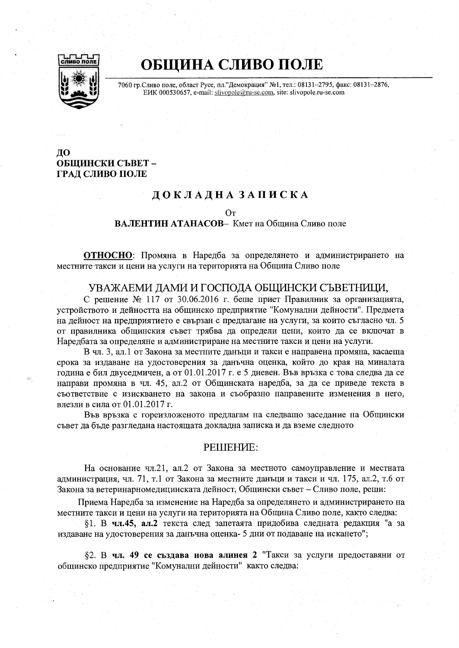

# ОБЩИНА СЛИВО ПОЛЕ

7060 гр.Сливо поле, област Русе, пл."Демокрация" №1, тел.: 08131-2795, факс: 08131-2876, EHK 000530657, e-mail: slivopole@ru-se.com, site: slivopole.ru-se.com

## ДО ОБШИНСКИ СЪВЕТ -ГРАД СЛИВО ПОЛЕ

## ДОКЛАДНА ЗАПИСКА

Oт

#### ВАЛЕНТИН АТАНАСОВ- Кмет на Община Сливо поле

ОТНОСНО: Промяна в Наредба за определянето и администрирането на местните такси и цени на услуги на територията на Община Сливо поле

## УВАЖАЕМИ ЛАМИ И ГОСПОЛА ОБШИНСКИ СЪВЕТНИЦИ.

С решение № 117 от 30.06.2016 г. беше приет Правилник за организацията, устройството и дейността на общинско предприятие "Комунални дейности". Предмета на дейност на предприятието е свързан с предлагане на услуги, за които съгласно чл. 5 от правилника общинския съвет трябва да определи цени, които да се включат в Наредбата за определяне и администриране на местните такси и цени на услуги.

В чл. 3, ал.1 от Закона за местните данъци и такси е направена промяна, касаеща срока за издаване на удостоверения за данъчна оценка, който до края на миналата година е бил двуседмичен, а от 01.01.2017 г. е 5 дневен. Във връзка с това следва да се направи промяна в чл. 45, ал.2 от Общинската наредба, за да се приведе текста в съответствие с изискването на закона и съобразно направените изменения в него, влезли в сила от 01.01.2017 г.

Във връзка с гореизложеното предлагам на следващо заседание на Общински съвет да бъде разгледана настоящата докладна записка и да вземе следното

#### PEIIIEHME:

На основание чл.21, ал.2 от Закона за местното самоуправление и местната администрация, чл. 71, т.1 от Закона за местните данъци и такси и чл. 175, ал.2, т.6 от Закона за ветеринарномедицинската дейност, Общински съвет – Сливо поле, реши:

Приема Наредба за изменение на Наредба за определянето и администрирането на местните такси и цени на услуги на територията на Община Сливо поле, както следва:

81. В чл.45, ал.2 текста след запетаята придобива следната редакция "а за издаване на удостоверения за данъчна оценка- 5 дни от подаване на искането";

82. В чл. 49 се създава нова алинея 2 "Такси за услуги предоставяни от общинско предприятие "Комунални дейности" както следва: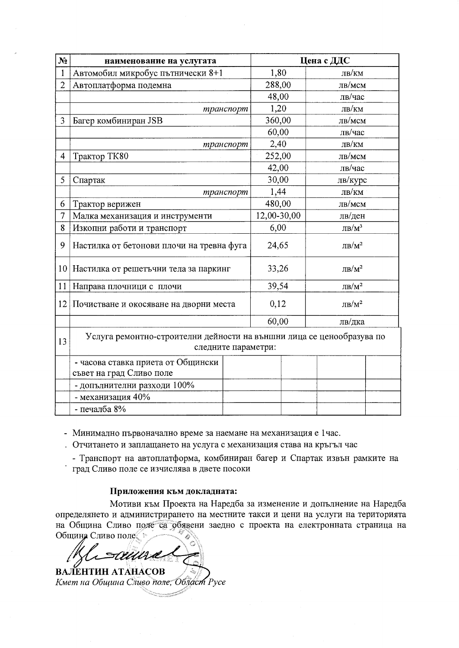| N <sub>2</sub>  | наименование на услугата                                                                     |  | Цена с ДДС  |        |                         |  |
|-----------------|----------------------------------------------------------------------------------------------|--|-------------|--------|-------------------------|--|
| 1               | Автомобил микробус пътнически 8+1                                                            |  | 1,80        |        | лв/км                   |  |
| $\overline{2}$  | Автоплатформа подемна                                                                        |  | 288,00      |        | лв/мсм                  |  |
|                 |                                                                                              |  | 48,00       |        | лв/час                  |  |
|                 | транспорт                                                                                    |  | 1,20        |        | лв/км                   |  |
| 3               | Багер комбиниран JSB                                                                         |  | 360,00      |        | лв/мсм                  |  |
|                 |                                                                                              |  | 60,00       |        | лв/час                  |  |
|                 | транспорт                                                                                    |  | 2,40        |        | лв/км                   |  |
| $\overline{4}$  | Трактор ТК80                                                                                 |  |             | 252,00 | лв/мсм                  |  |
|                 |                                                                                              |  | 42,00       |        | лв/час                  |  |
| 5               | Спартак                                                                                      |  | 30,00       |        | лв/курс                 |  |
|                 | транспорт                                                                                    |  | 1,44        |        | лв/км                   |  |
| 6               | Трактор верижен                                                                              |  | 480,00      |        | лв/мсм                  |  |
| $\overline{7}$  | Малка механизация и инструменти                                                              |  | 12,00-30,00 |        | лв/ден                  |  |
| 8               | Изкопни работи и транспорт                                                                   |  | 6,00        |        | ЛВ/ $M^3$               |  |
| 9               | Настилка от бетонови плочи на тревна фуга                                                    |  | 24,65       |        | $\text{JIB}/\text{M}^2$ |  |
| 10 <sup>1</sup> | Настилка от решетъчни тела за паркинг                                                        |  | 33,26       |        | $\text{JIB}/\text{M}^2$ |  |
| 11              | Направа плочници с плочи                                                                     |  | 39,54       |        | $JIB/M^2$               |  |
| 12              | Почистване и окосяване на дворни места                                                       |  | 0,12        |        | $\rm{JIB}/M^2$          |  |
|                 |                                                                                              |  |             | 60,00  | лв/дка                  |  |
| 13              | Услуга ремонтно-строителни дейности на външни лица се ценообразува по<br>следните параметри: |  |             |        |                         |  |
|                 | - часова ставка приета от Общински                                                           |  |             |        |                         |  |
|                 | съвет на град Сливо поле                                                                     |  |             |        |                         |  |
|                 | - допълнителни разходи 100%                                                                  |  |             |        |                         |  |
|                 | - механизация 40%                                                                            |  |             |        |                         |  |
|                 | - печалба $8\%$                                                                              |  |             |        |                         |  |

- Минимално първоначално време за наемане на механизация е 1час.

. Отчитането и заплащането на услуга с механизация става на кръгъл час

- Транспорт на автоплатформа, комбиниран багер и Спартак извън рамките на град Сливо поле се изчислява в двете посоки

Приложения към докладната:

Мотиви към Проекта на Наредба за изменение и допълнение на Наредба определянето и администрирането на местните такси и цени на услуги на територията на Община Сливо поде са обявени заедно с проекта на електронната страница на Община Сливо поле

ВАЛЕНТИН АТАНАСОВ Кмет на Община Сливо поле, Област Русе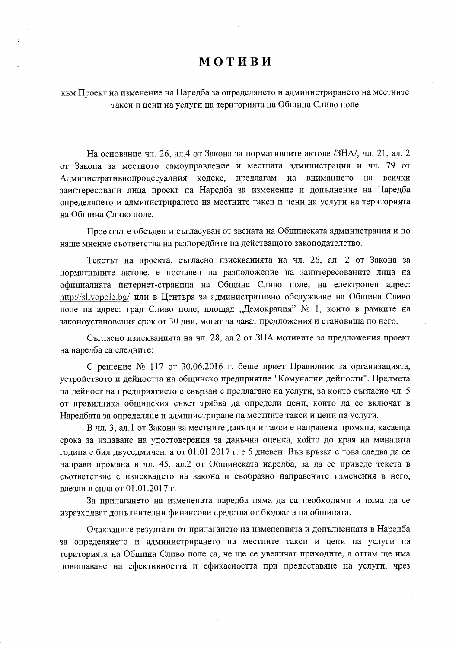# **МОТИВИ**

към Проект на изменение на Наредба за определянето и администрирането на местните такси и цени на услуги на територията на Община Сливо поле

На основание чл. 26, ал.4 от Закона за нормативните актове /ЗНА/, чл. 21, ал. 2 от Закона за местното самоуправление и местната администрация и чл. 79 от Административнопроцесуалния кодекс, предлагам на вниманието на всички заинтересовани лица проект на Наредба за изменение и допълнение на Наредба определянето и администрирането на местните такси и цени на услуги на територията на Обшина Сливо поле.

Проектът е обсъден и съгласуван от звената на Общинската администрация и по наше мнение съответства на разпоредбите на действащото законодателство.

Текстът на проекта, съгласно изискванията на чл. 26, ал. 2 от Закона за нормативните актове, е поставен на разположение на заинтересованите лица на официалната интернет-страница на Община Сливо поле, на електронен адрес: http://slivopole.bg/ или в Центъра за административно обслужване на Община Сливо поле на адрес: град Сливо поле, площад "Демокрация" № 1, които в рамките на законоустановения срок от 30 дни, могат да дават предложения и становища по него.

Съгласно изискванията на чл. 28, ал.2 от ЗНА мотивите за предложения проект на наредба са следните:

С решение № 117 от 30.06.2016 г. беше приет Правилник за организацията, устройството и дейността на общинско предприятие "Комунални дейности". Предмета на дейност на предприятието е свързан с предлагане на услуги, за които съгласно чл. 5 от правилника общинския съвет трябва да определи цени, които да се включат в Наредбата за определяне и администриране на местните такси и цени на услуги.

В чл. 3, ал.1 от Закона за местните данъци и такси е направена промяна, касаеща срока за издаване на удостоверения за данъчна оценка, който до края на миналата година е бил двуседмичен, а от 01.01.2017 г. е 5 дневен. Във връзка с това следва да се направи промяна в чл. 45, ал.2 от Общинската наредба, за да се приведе текста в съответствие с изискването на закона и съобразно направените изменения в него, влезли в сила от 01.01.2017 г.

За прилагането на изменената наредба няма да са необходими и няма да се изразходват допълнителни финансови средства от бюджета на общината.

Очакваните резултати от прилагането на измененията и допълненията в Наредба за определянето и администрирането на местните такси и цени на услуги на територията на Община Сливо поле са, че ще се увеличат приходите, а оттам ще има повишаване на ефективността и ефикасността при предоставяне на услуги, чрез